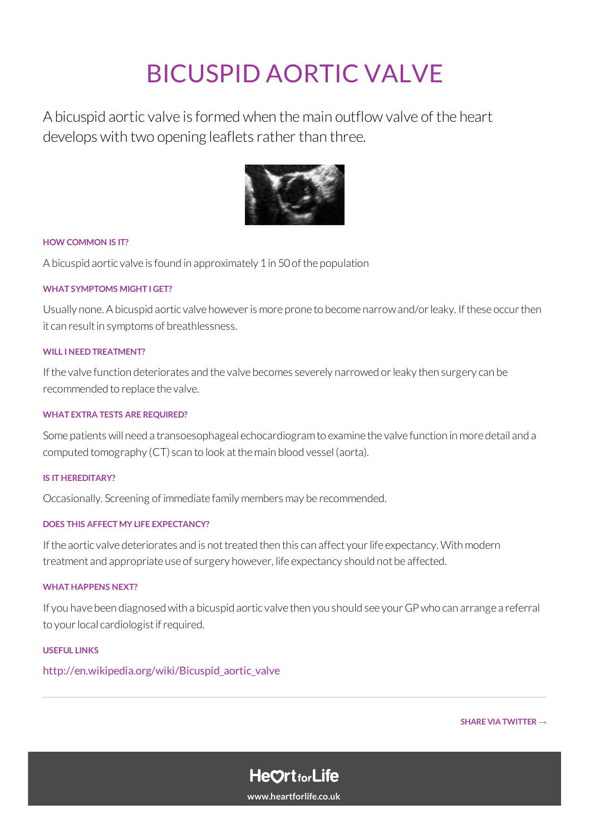# BICUSPID AORTIC VALVE

A bicuspid aortic valve isformedwhen themain outflow valve of the heart develops with two opening leaflets rather than three.



#### **HOW COMMON IS IT?**

A bicuspid aortic valve isfound in approximately 1in 50ofthe population

### **WHAT SYMPTOMS MIGHT I GET?**

Usually none. A bicuspid aortic valve however is more prone to become narrow and/or leaky. If these occur then it can result in symptoms of breathlessness.

### **WILL INEEDTREATMENT?**

If the valve function deteriorates and the valve becomes severely narrowed or leaky then surgery can be recommended to replace the valve.

#### **WHAT EXTRA TESTS ARE REQUIRED?**

Some patients will need a transoesophageal echocardiogram to examine the valve function in more detail and a computed tomography (CT) scan to look at the main blood vessel (aorta).

#### **IS IT HEREDITARY?**

Occasionally. Screening of immediate family members may be recommended.

## **DOES THIS AFFECT MY LIFE EXPECTANCY?**

If the aortic valve deteriorates and is not treated then this can affect your life expectancy. With modern treatment and appropriate use of surgery however, life expectancy should not be affected.

#### **WHATHAPPENS NEXT?**

If you have been diagnosed with a bicuspid aortic valve then you should see your GP who can arrange a referral to your local cardiologist if required.

#### **USEFUL LINKS**

[http://en.wikipedia.org/wiki/Bicuspid\\_aortic\\_valve](https://en.wikipedia.org/wiki/Bicuspid_aortic_valve)

**SHARE VIA [TWITTER](https://twitter.com/home?status=A helpful guide to Bicuspid+Aortic+Valve via %40heartscreening %23AED %23CPR %23heartscreening https%3A%2F%2Fwww.heartforlife.co.uk%2Fconditions%2Fbicuspid-aortic-valve%2F) →**